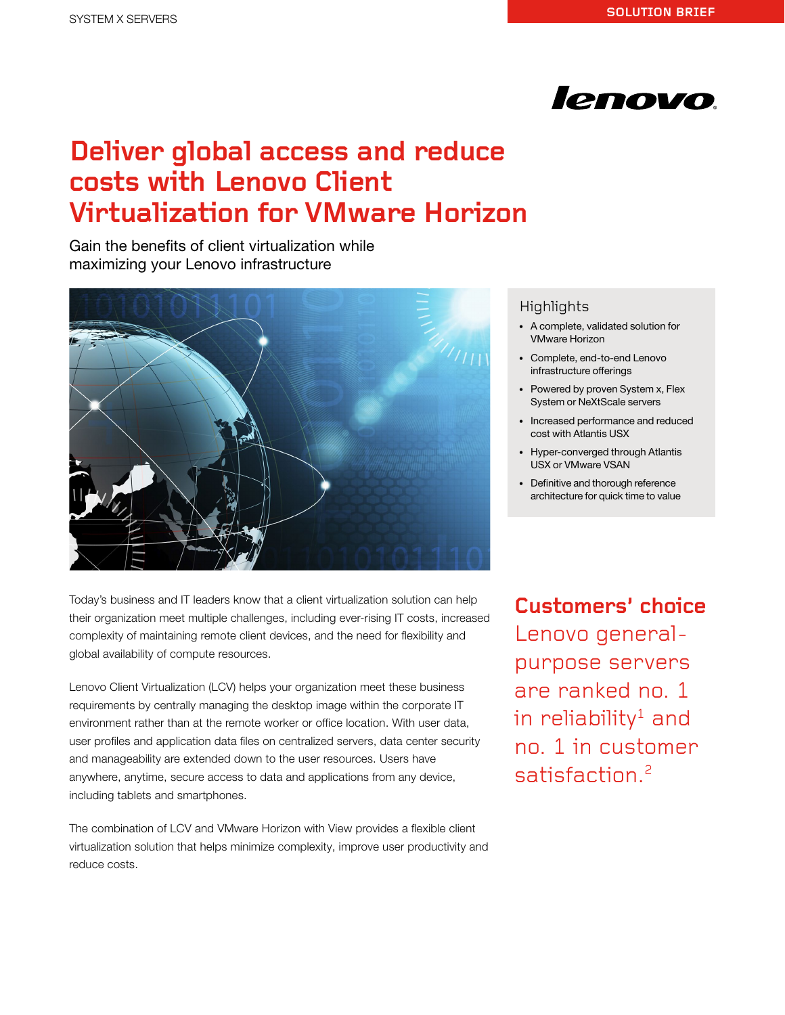

# **Deliver global access and reduce costs with Lenovo Client Virtualization for VMware Horizon**

Gain the benefits of client virtualization while maximizing your Lenovo infrastructure



## Highlights

- A complete, validated solution for VMware Horizon
- Complete, end-to-end Lenovo infrastructure offerings
- Powered by proven System x, Flex System or NeXtScale servers
- Increased performance and reduced cost with Atlantis USX
- Hyper-converged through Atlantis USX or VMware VSAN
- Definitive and thorough reference architecture for quick time to value

Today's business and IT leaders know that a client virtualization solution can help their organization meet multiple challenges, including ever-rising IT costs, increased complexity of maintaining remote client devices, and the need for flexibility and global availability of compute resources.

Lenovo Client Virtualization (LCV) helps your organization meet these business requirements by centrally managing the desktop image within the corporate IT environment rather than at the remote worker or office location. With user data, user profiles and application data files on centralized servers, data center security and manageability are extended down to the user resources. Users have anywhere, anytime, secure access to data and applications from any device, including tablets and smartphones.

The combination of LCV and VMware Horizon with View provides a flexible client virtualization solution that helps minimize complexity, improve user productivity and reduce costs.

**Customers' choice** Lenovo generalpurpose servers are ranked no. 1 in reliability<sup>1</sup> and no. 1 in customer satisfaction<sup>2</sup>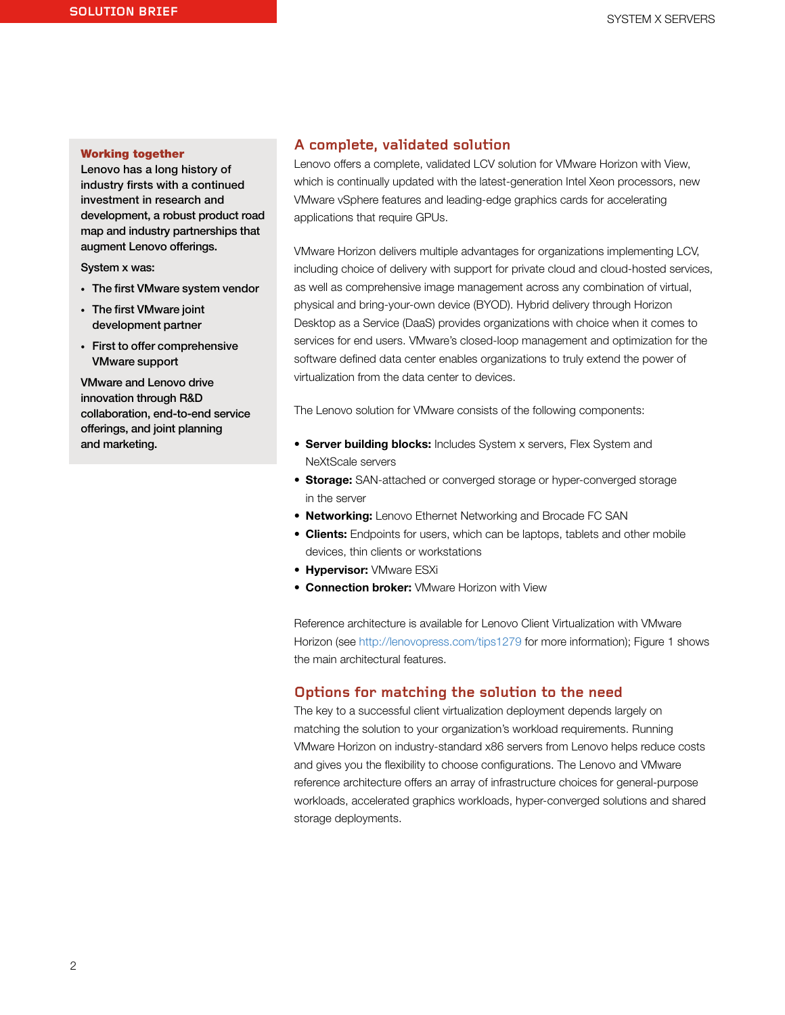#### Working together

Lenovo has a long history of industry firsts with a continued investment in research and development, a robust product road map and industry partnerships that augment Lenovo offerings.

System x was:

- The first VMware system vendor
- The first VMware joint development partner
- First to offer comprehensive VMware support

VMware and Lenovo drive innovation through R&D collaboration, end-to-end service offerings, and joint planning and marketing.

## **A complete, validated solution**

Lenovo offers a complete, validated LCV solution for VMware Horizon with View, which is continually updated with the latest-generation Intel Xeon processors, new VMware vSphere features and leading-edge graphics cards for accelerating applications that require GPUs.

VMware Horizon delivers multiple advantages for organizations implementing LCV, including choice of delivery with support for private cloud and cloud-hosted services, as well as comprehensive image management across any combination of virtual, physical and bring-your-own device (BYOD). Hybrid delivery through Horizon Desktop as a Service (DaaS) provides organizations with choice when it comes to services for end users. VMware's closed-loop management and optimization for the software defined data center enables organizations to truly extend the power of virtualization from the data center to devices.

The Lenovo solution for VMware consists of the following components:

- Server building blocks: Includes System x servers, Flex System and NeXtScale servers
- Storage: SAN-attached or converged storage or hyper-converged storage in the server
- Networking: Lenovo Ethernet Networking and Brocade FC SAN
- Clients: Endpoints for users, which can be laptops, tablets and other mobile devices, thin clients or workstations
- **Hypervisor: VMware ESXi**
- **Connection broker:** VMware Horizon with View

Reference architecture is available for Lenovo Client Virtualization with VMware Horizon (see<http://lenovopress.com/tips1279> for more information); Figure 1 shows the main architectural features.

## **Options for matching the solution to the need**

The key to a successful client virtualization deployment depends largely on matching the solution to your organization's workload requirements. Running VMware Horizon on industry-standard x86 servers from Lenovo helps reduce costs and gives you the flexibility to choose configurations. The Lenovo and VMware reference architecture offers an array of infrastructure choices for general-purpose workloads, accelerated graphics workloads, hyper-converged solutions and shared storage deployments.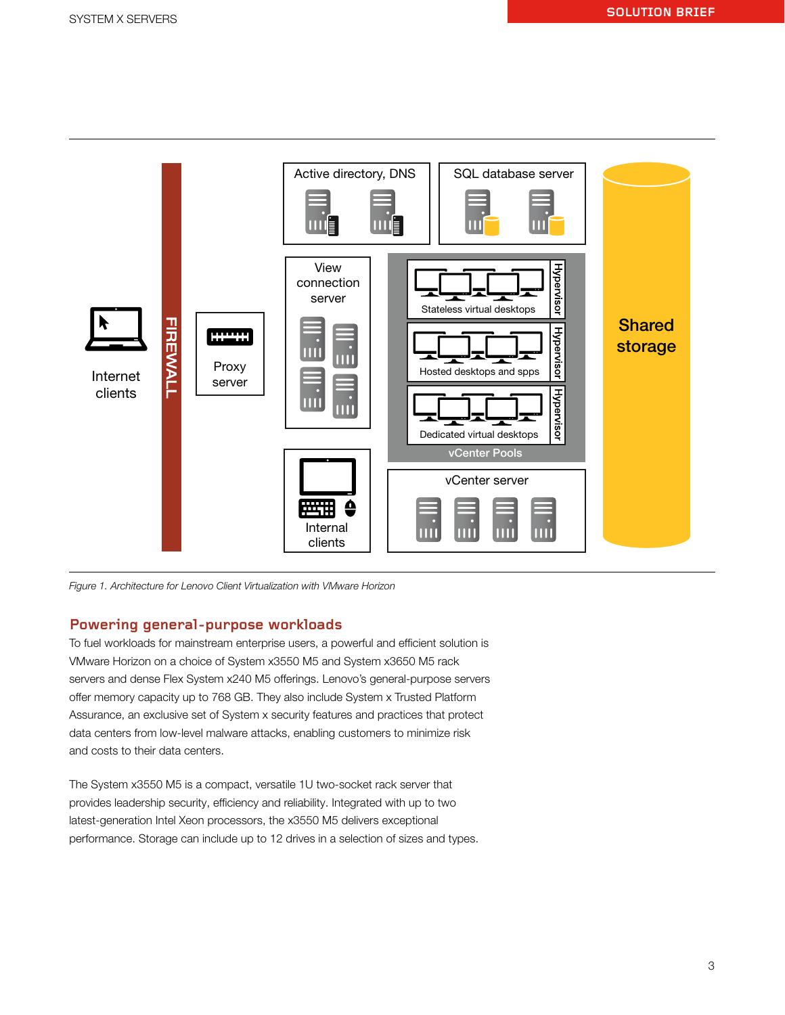

Figure 1. Architecture for Lenovo Client Virtualization with VMware Horizon

### **Powering general-purpose workloads**

To fuel workloads for mainstream enterprise users, a powerful and efficient solution is VMware Horizon on a choice of System x3550 M5 and System x3650 M5 rack servers and dense Flex System x240 M5 offerings. Lenovo's general-purpose servers offer memory capacity up to 768 GB. They also include System x Trusted Platform Assurance, an exclusive set of System x security features and practices that protect data centers from low-level malware attacks, enabling customers to minimize risk and costs to their data centers.

The System x3550 M5 is a compact, versatile 1U two-socket rack server that provides leadership security, efficiency and reliability. Integrated with up to two latest-generation Intel Xeon processors, the x3550 M5 delivers exceptional performance. Storage can include up to 12 drives in a selection of sizes and types.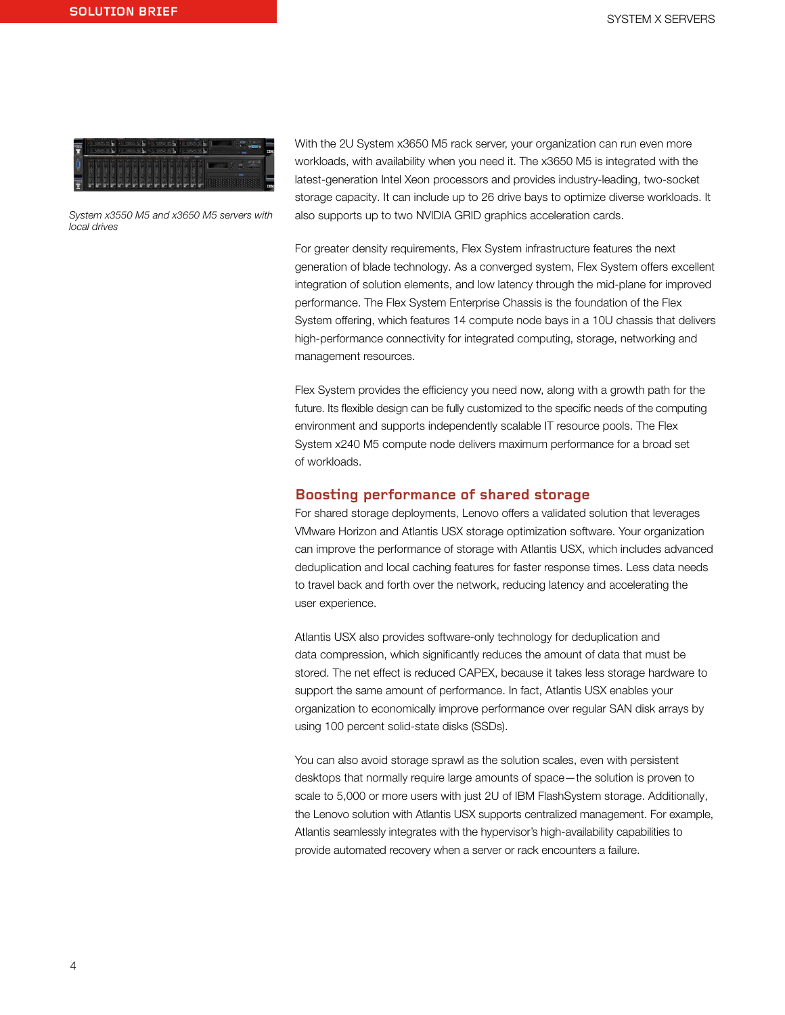

System x3550 M5 and x3650 M5 servers with local drives

With the 2U System x3650 M5 rack server, your organization can run even more workloads, with availability when you need it. The x3650 M5 is integrated with the latest-generation Intel Xeon processors and provides industry-leading, two-socket storage capacity. It can include up to 26 drive bays to optimize diverse workloads. It also supports up to two NVIDIA GRID graphics acceleration cards.

For greater density requirements, Flex System infrastructure features the next generation of blade technology. As a converged system, Flex System offers excellent integration of solution elements, and low latency through the mid-plane for improved performance. The Flex System Enterprise Chassis is the foundation of the Flex System offering, which features 14 compute node bays in a 10U chassis that delivers high-performance connectivity for integrated computing, storage, networking and management resources.

Flex System provides the efficiency you need now, along with a growth path for the future. Its flexible design can be fully customized to the specific needs of the computing environment and supports independently scalable IT resource pools. The Flex System x240 M5 compute node delivers maximum performance for a broad set of workloads.

### **Boosting performance of shared storage**

For shared storage deployments, Lenovo offers a validated solution that leverages VMware Horizon and Atlantis USX storage optimization software. Your organization can improve the performance of storage with Atlantis USX, which includes advanced deduplication and local caching features for faster response times. Less data needs to travel back and forth over the network, reducing latency and accelerating the user experience.

Atlantis USX also provides software-only technology for deduplication and data compression, which significantly reduces the amount of data that must be stored. The net effect is reduced CAPEX, because it takes less storage hardware to support the same amount of performance. In fact, Atlantis USX enables your organization to economically improve performance over regular SAN disk arrays by using 100 percent solid-state disks (SSDs).

You can also avoid storage sprawl as the solution scales, even with persistent desktops that normally require large amounts of space—the solution is proven to scale to 5,000 or more users with just 2U of IBM FlashSystem storage. Additionally, the Lenovo solution with Atlantis USX supports centralized management. For example, Atlantis seamlessly integrates with the hypervisor's high-availability capabilities to provide automated recovery when a server or rack encounters a failure.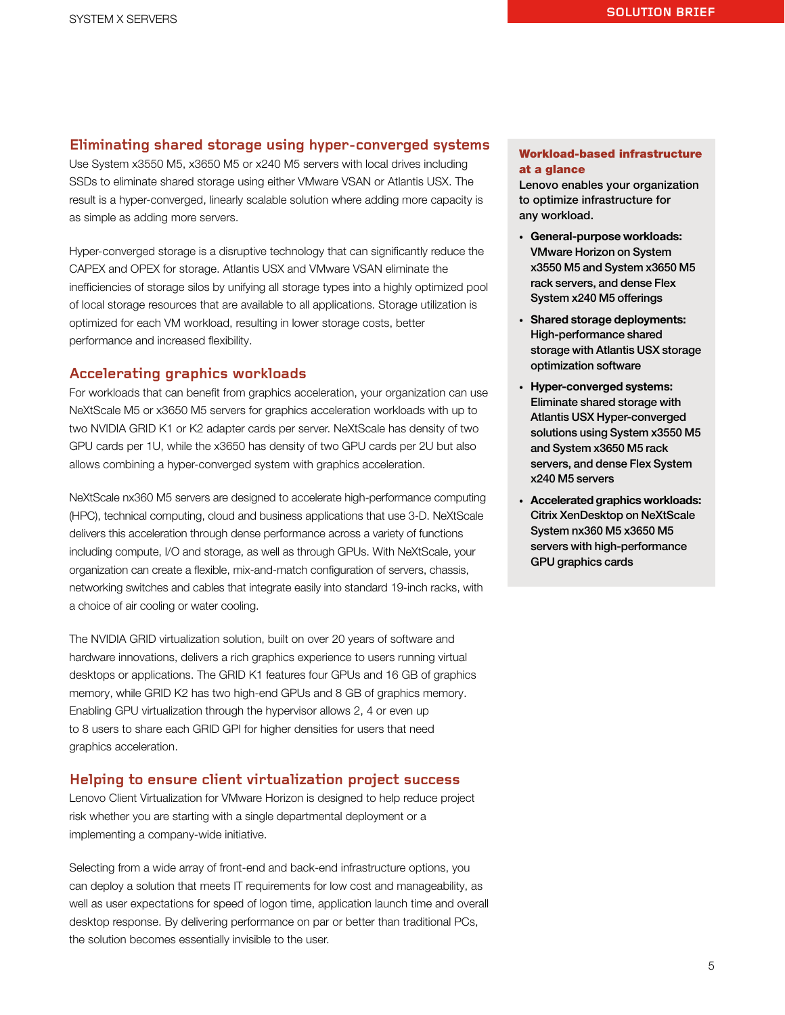## **Eliminating shared storage using hyper-converged systems**

Use System x3550 M5, x3650 M5 or x240 M5 servers with local drives including SSDs to eliminate shared storage using either VMware VSAN or Atlantis USX. The result is a hyper-converged, linearly scalable solution where adding more capacity is as simple as adding more servers.

Hyper-converged storage is a disruptive technology that can significantly reduce the CAPEX and OPEX for storage. Atlantis USX and VMware VSAN eliminate the inefficiencies of storage silos by unifying all storage types into a highly optimized pool of local storage resources that are available to all applications. Storage utilization is optimized for each VM workload, resulting in lower storage costs, better performance and increased flexibility.

## **Accelerating graphics workloads**

For workloads that can benefit from graphics acceleration, your organization can use NeXtScale M5 or x3650 M5 servers for graphics acceleration workloads with up to two NVIDIA GRID K1 or K2 adapter cards per server. NeXtScale has density of two GPU cards per 1U, while the x3650 has density of two GPU cards per 2U but also allows combining a hyper-converged system with graphics acceleration.

NeXtScale nx360 M5 servers are designed to accelerate high-performance computing (HPC), technical computing, cloud and business applications that use 3-D. NeXtScale delivers this acceleration through dense performance across a variety of functions including compute, I/O and storage, as well as through GPUs. With NeXtScale, your organization can create a flexible, mix-and-match configuration of servers, chassis, networking switches and cables that integrate easily into standard 19-inch racks, with a choice of air cooling or water cooling.

The NVIDIA GRID virtualization solution, built on over 20 years of software and hardware innovations, delivers a rich graphics experience to users running virtual desktops or applications. The GRID K1 features four GPUs and 16 GB of graphics memory, while GRID K2 has two high-end GPUs and 8 GB of graphics memory. Enabling GPU virtualization through the hypervisor allows 2, 4 or even up to 8 users to share each GRID GPI for higher densities for users that need graphics acceleration.

# **Helping to ensure client virtualization project success**

Lenovo Client Virtualization for VMware Horizon is designed to help reduce project risk whether you are starting with a single departmental deployment or a implementing a company-wide initiative.

Selecting from a wide array of front-end and back-end infrastructure options, you can deploy a solution that meets IT requirements for low cost and manageability, as well as user expectations for speed of logon time, application launch time and overall desktop response. By delivering performance on par or better than traditional PCs, the solution becomes essentially invisible to the user.

#### Workload-based infrastructure at a glance

Lenovo enables your organization to optimize infrastructure for any workload.

- General-purpose workloads: VMware Horizon on System x3550 M5 and System x3650 M5 rack servers, and dense Flex System x240 M5 offerings
- Shared storage deployments: High-performance shared storage with Atlantis USX storage optimization software
- Hyper-converged systems: Eliminate shared storage with Atlantis USX Hyper-converged solutions using System x3550 M5 and System x3650 M5 rack servers, and dense Flex System x240 M5 servers
- Accelerated graphics workloads: Citrix XenDesktop on NeXtScale System nx360 M5 x3650 M5 servers with high-performance GPU graphics cards